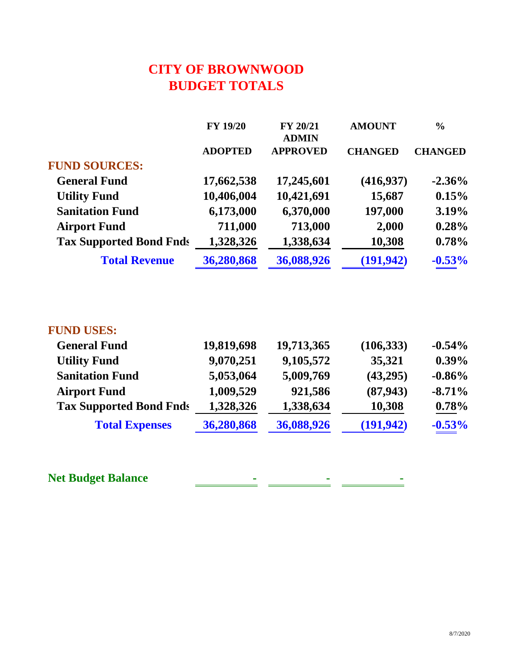# **CITY OF BROWNWOOD BUDGET TOTALS**

|                                | <b>FY 19/20</b> | FY 20/21                        | <b>AMOUNT</b>  | $\frac{0}{0}$  |
|--------------------------------|-----------------|---------------------------------|----------------|----------------|
|                                | <b>ADOPTED</b>  | <b>ADMIN</b><br><b>APPROVED</b> | <b>CHANGED</b> | <b>CHANGED</b> |
| <b>FUND SOURCES:</b>           |                 |                                 |                |                |
| <b>General Fund</b>            | 17,662,538      | 17,245,601                      | (416, 937)     | $-2.36\%$      |
| <b>Utility Fund</b>            | 10,406,004      | 10,421,691                      | 15,687         | 0.15%          |
| <b>Sanitation Fund</b>         | 6,173,000       | 6,370,000                       | 197,000        | 3.19%          |
| <b>Airport Fund</b>            | 711,000         | 713,000                         | 2,000          | 0.28%          |
| <b>Tax Supported Bond Fnds</b> | 1,328,326       | 1,338,634                       | 10,308         | 0.78%          |
| <b>Total Revenue</b>           | 36,280,868      | 36,088,926                      | (191, 942)     | $-0.53%$       |

#### **FUND USES:**

| <b>General Fund</b>            | 19,819,698 | 19,713,365 | (106, 333) | $-0.54\%$ |
|--------------------------------|------------|------------|------------|-----------|
| <b>Utility Fund</b>            | 9,070,251  | 9,105,572  | 35,321     | $0.39\%$  |
| <b>Sanitation Fund</b>         | 5,053,064  | 5,009,769  | (43,295)   | $-0.86\%$ |
| <b>Airport Fund</b>            | 1,009,529  | 921,586    | (87, 943)  | $-8.71%$  |
| <b>Tax Supported Bond Fnds</b> | 1,328,326  | 1,338,634  | 10,308     | 0.78%     |
| <b>Total Expenses</b>          | 36,280,868 | 36,088,926 | (191, 942) | $-0.53%$  |

| <b>Net Budget Balance</b> |  |  |
|---------------------------|--|--|
|                           |  |  |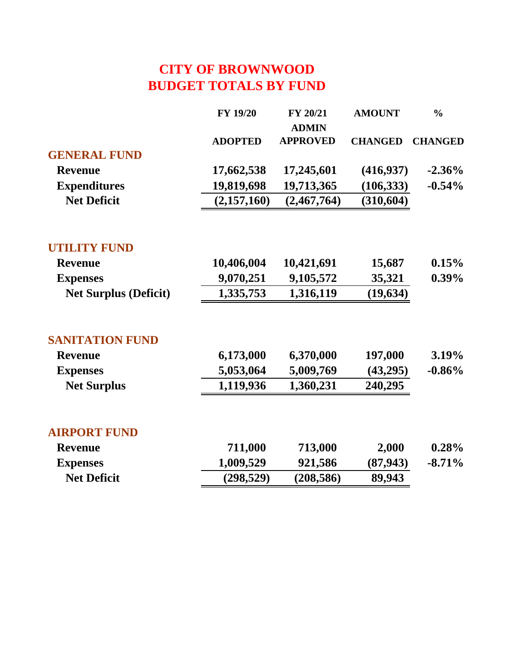# **CITY OF BROWNWOOD BUDGET TOTALS BY FUND**

|                              | <b>FY 19/20</b> | FY 20/21        | <b>AMOUNT</b>  | $\frac{0}{0}$  |
|------------------------------|-----------------|-----------------|----------------|----------------|
|                              |                 | <b>ADMIN</b>    |                |                |
|                              | <b>ADOPTED</b>  | <b>APPROVED</b> | <b>CHANGED</b> | <b>CHANGED</b> |
| <b>GENERAL FUND</b>          |                 |                 |                |                |
| <b>Revenue</b>               | 17,662,538      | 17,245,601      | (416, 937)     | $-2.36\%$      |
| <b>Expenditures</b>          | 19,819,698      | 19,713,365      | (106, 333)     | $-0.54%$       |
| <b>Net Deficit</b>           | (2,157,160)     | (2,467,764)     | (310, 604)     |                |
| <b>UTILITY FUND</b>          |                 |                 |                |                |
| <b>Revenue</b>               | 10,406,004      | 10,421,691      | 15,687         | 0.15%          |
| <b>Expenses</b>              | 9,070,251       | 9,105,572       | 35,321         | $0.39\%$       |
| <b>Net Surplus (Deficit)</b> | 1,335,753       | 1,316,119       | (19, 634)      |                |
| <b>SANITATION FUND</b>       |                 |                 |                |                |
| <b>Revenue</b>               | 6,173,000       | 6,370,000       | 197,000        | 3.19%          |
| <b>Expenses</b>              | 5,053,064       | 5,009,769       | (43,295)       | $-0.86\%$      |
| <b>Net Surplus</b>           | 1,119,936       | 1,360,231       | 240,295        |                |
| <b>AIRPORT FUND</b>          |                 |                 |                |                |
| <b>Revenue</b>               | 711,000         | 713,000         | 2,000          | 0.28%          |
| <b>Expenses</b>              | 1,009,529       | 921,586         | (87, 943)      | $-8.71%$       |
| <b>Net Deficit</b>           | (298, 529)      | (208, 586)      | 89,943         |                |
|                              |                 |                 |                |                |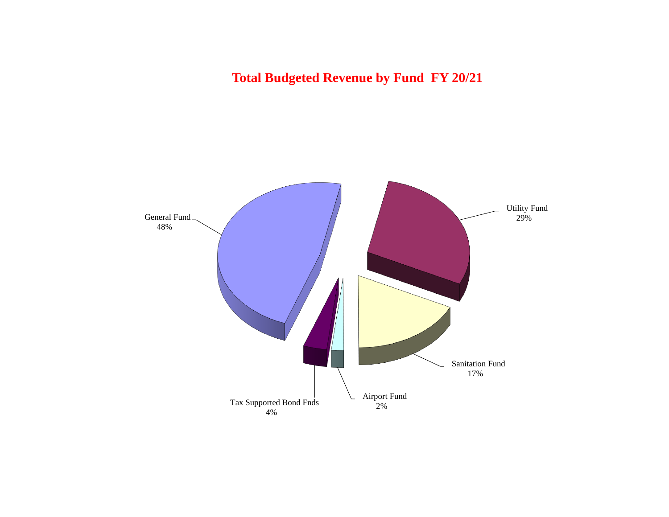**Total Budgeted Revenue by Fund FY 20/21**

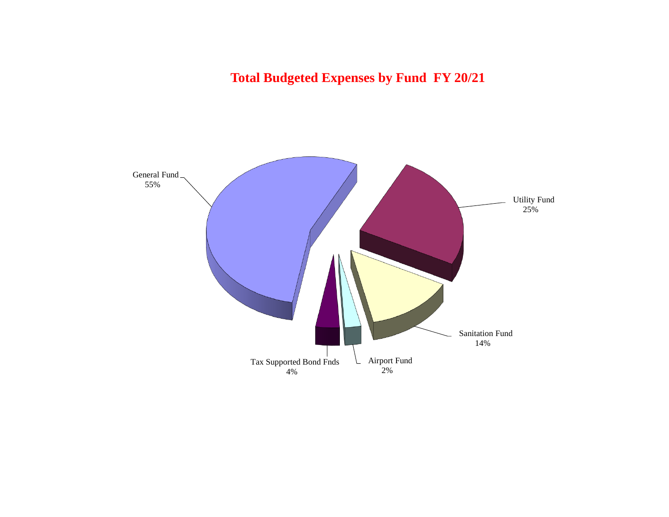**Total Budgeted Expenses by Fund FY 20/21**

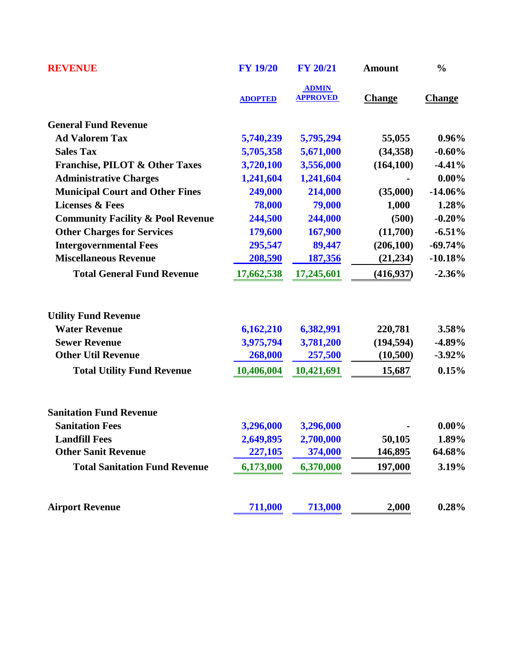| <b>REVENUE</b>                               | <b>FY 19/20</b> | <b>FY 20/21</b>                 | <b>Amount</b> | $\frac{0}{0}$ |
|----------------------------------------------|-----------------|---------------------------------|---------------|---------------|
|                                              | <b>ADOPTED</b>  | <b>ADMIN</b><br><b>APPROVED</b> | <b>Change</b> | <b>Change</b> |
| <b>General Fund Revenue</b>                  |                 |                                 |               |               |
| <b>Ad Valorem Tax</b>                        | 5,740,239       | 5,795,294                       | 55,055        | $0.96\%$      |
| <b>Sales Tax</b>                             | 5,705,358       | 5,671,000                       | (34,358)      | $-0.60%$      |
| <b>Franchise, PILOT &amp; Other Taxes</b>    | 3,720,100       | 3,556,000                       | (164, 100)    | $-4.41%$      |
| <b>Administrative Charges</b>                | 1,241,604       | 1,241,604                       |               | $0.00\%$      |
| <b>Municipal Court and Other Fines</b>       | 249,000         | 214,000                         | (35,000)      | $-14.06\%$    |
| <b>Licenses &amp; Fees</b>                   | 78,000          | 79,000                          | 1,000         | 1.28%         |
| <b>Community Facility &amp; Pool Revenue</b> | 244,500         | 244,000                         | (500)         | $-0.20%$      |
| <b>Other Charges for Services</b>            | 179,600         | 167,900                         | (11,700)      | $-6.51%$      |
| <b>Intergovernmental Fees</b>                | 295,547         | 89,447                          | (206, 100)    | $-69.74%$     |
| <b>Miscellaneous Revenue</b>                 | 208,590         | <u>187,356</u>                  | (21, 234)     | $-10.18%$     |
| <b>Total General Fund Revenue</b>            | 17,662,538      | 17,245,601                      | (416, 937)    | $-2.36%$      |
| <b>Utility Fund Revenue</b>                  |                 |                                 |               |               |
| <b>Water Revenue</b>                         | 6,162,210       | 6,382,991                       | 220,781       | 3.58%         |
| <b>Sewer Revenue</b>                         | 3,975,794       | 3,781,200                       | (194, 594)    | $-4.89%$      |
| <b>Other Util Revenue</b>                    | 268,000         | 257,500                         | (10,500)      | $-3.92%$      |
| <b>Total Utility Fund Revenue</b>            | 10,406,004      | 10,421,691                      | 15,687        | 0.15%         |
| <b>Sanitation Fund Revenue</b>               |                 |                                 |               |               |
| <b>Sanitation Fees</b>                       | 3,296,000       | 3,296,000                       |               | $0.00\%$      |
| <b>Landfill Fees</b>                         | 2,649,895       | 2,700,000                       | 50,105        | 1.89%         |
| <b>Other Sanit Revenue</b>                   | 227,105         | 374,000                         | 146,895       | 64.68%        |
| <b>Total Sanitation Fund Revenue</b>         | 6,173,000       | 6,370,000                       | 197,000       | 3.19%         |
| <b>Airport Revenue</b>                       | 711,000         | 713,000                         | 2,000         | 0.28%         |
|                                              |                 |                                 |               |               |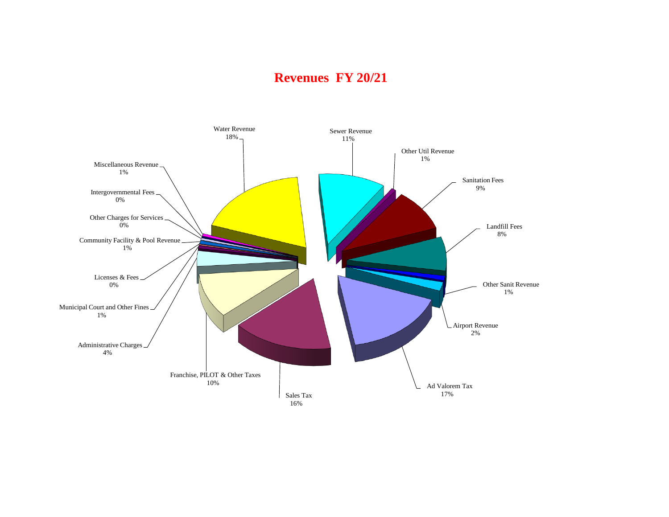## **Revenues FY 20/21**

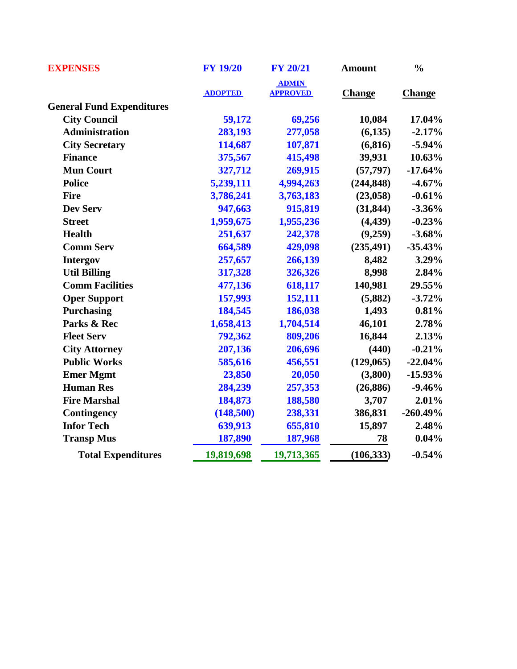| <b>EXPENSES</b>                  | <b>FY 19/20</b> | <b>FY 20/21</b>                 | <b>Amount</b> | $\frac{0}{0}$ |
|----------------------------------|-----------------|---------------------------------|---------------|---------------|
|                                  | <b>ADOPTED</b>  | <b>ADMIN</b><br><b>APPROVED</b> | <u>Change</u> | <u>Change</u> |
| <b>General Fund Expenditures</b> |                 |                                 |               |               |
| <b>City Council</b>              | 59,172          | 69,256                          | 10,084        | 17.04%        |
| <b>Administration</b>            | 283,193         | 277,058                         | (6,135)       | $-2.17%$      |
| <b>City Secretary</b>            | 114,687         | 107,871                         | (6, 816)      | $-5.94%$      |
| <b>Finance</b>                   | 375,567         | 415,498                         | 39,931        | 10.63%        |
| <b>Mun Court</b>                 | 327,712         | 269,915                         | (57, 797)     | $-17.64%$     |
| <b>Police</b>                    | 5,239,111       | 4,994,263                       | (244, 848)    | $-4.67%$      |
| <b>Fire</b>                      | 3,786,241       | 3,763,183                       | (23,058)      | $-0.61%$      |
| <b>Dev Serv</b>                  | 947,663         | 915,819                         | (31, 844)     | $-3.36%$      |
| <b>Street</b>                    | 1,959,675       | 1,955,236                       | (4, 439)      | $-0.23%$      |
| <b>Health</b>                    | 251,637         | 242,378                         | (9,259)       | $-3.68%$      |
| <b>Comm Serv</b>                 | 664,589         | 429,098                         | (235, 491)    | $-35.43%$     |
| <b>Intergov</b>                  | 257,657         | 266,139                         | 8,482         | 3.29%         |
| <b>Util Billing</b>              | 317,328         | 326,326                         | 8,998         | 2.84%         |
| <b>Comm Facilities</b>           | 477,136         | 618,117                         | 140,981       | 29.55%        |
| <b>Oper Support</b>              | 157,993         | 152,111                         | (5,882)       | $-3.72%$      |
| <b>Purchasing</b>                | 184,545         | 186,038                         | 1,493         | 0.81%         |
| Parks & Rec                      | 1,658,413       | 1,704,514                       | 46,101        | 2.78%         |
| <b>Fleet Serv</b>                | 792,362         | 809,206                         | 16,844        | 2.13%         |
| <b>City Attorney</b>             | 207,136         | 206,696                         | (440)         | $-0.21%$      |
| <b>Public Works</b>              | 585,616         | 456,551                         | (129,065)     | $-22.04%$     |
| <b>Emer Mgmt</b>                 | 23,850          | 20,050                          | (3,800)       | $-15.93%$     |
| <b>Human Res</b>                 | 284,239         | 257,353                         | (26, 886)     | $-9.46%$      |
| <b>Fire Marshal</b>              | 184,873         | 188,580                         | 3,707         | 2.01%         |
| Contingency                      | (148,500)       | 238,331                         | 386,831       | $-260.49%$    |
| <b>Infor Tech</b>                | 639,913         | 655,810                         | 15,897        | 2.48%         |
| <b>Transp Mus</b>                | 187,890         | 187,968                         | 78            | 0.04%         |
| <b>Total Expenditures</b>        | 19,819,698      | 19,713,365                      | (106, 333)    | $-0.54%$      |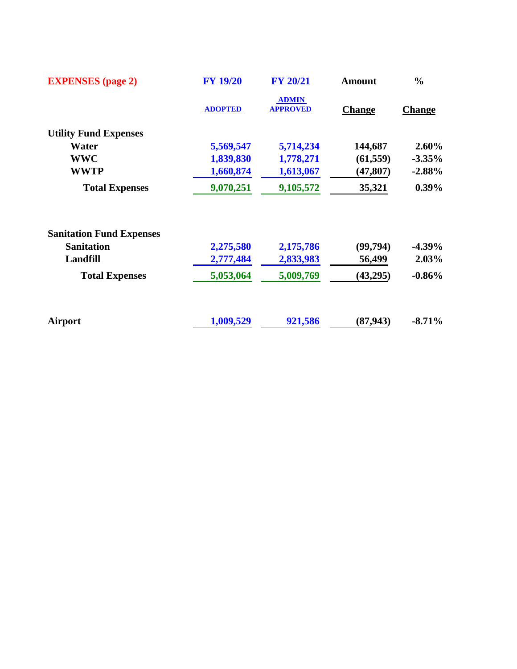| <b>EXPENSES</b> (page 2)        | <b>FY 19/20</b> | <b>FY 20/21</b>                 | <b>Amount</b> | $\frac{0}{0}$ |
|---------------------------------|-----------------|---------------------------------|---------------|---------------|
|                                 | <b>ADOPTED</b>  | <b>ADMIN</b><br><b>APPROVED</b> | <b>Change</b> | <b>Change</b> |
| <b>Utility Fund Expenses</b>    |                 |                                 |               |               |
| Water                           | 5,569,547       | 5,714,234                       | 144,687       | 2.60%         |
| <b>WWC</b>                      | 1,839,830       | 1,778,271                       | (61, 559)     | $-3.35%$      |
| <b>WWTP</b>                     | 1,660,874       | 1,613,067                       | (47, 807)     | $-2.88%$      |
| <b>Total Expenses</b>           | 9,070,251       | 9,105,572                       | 35,321        | $0.39\%$      |
| <b>Sanitation Fund Expenses</b> |                 |                                 |               |               |
| <b>Sanitation</b>               | 2,275,580       | 2,175,786                       | (99, 794)     | $-4.39%$      |
| <b>Landfill</b>                 | 2,777,484       | 2,833,983                       | 56,499        | 2.03%         |
| <b>Total Expenses</b>           | 5,053,064       | 5,009,769                       | (43,295)      | $-0.86%$      |
| <b>Airport</b>                  | 1,009,529       | 921,586                         | (87, 943)     | $-8.71%$      |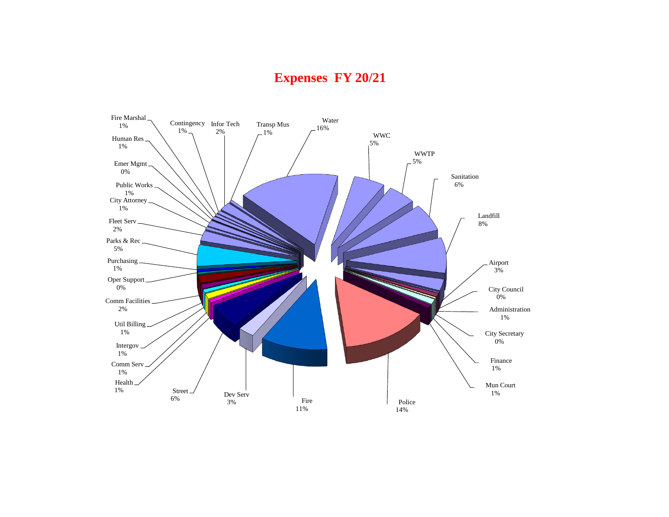# **Expenses FY 20/21**

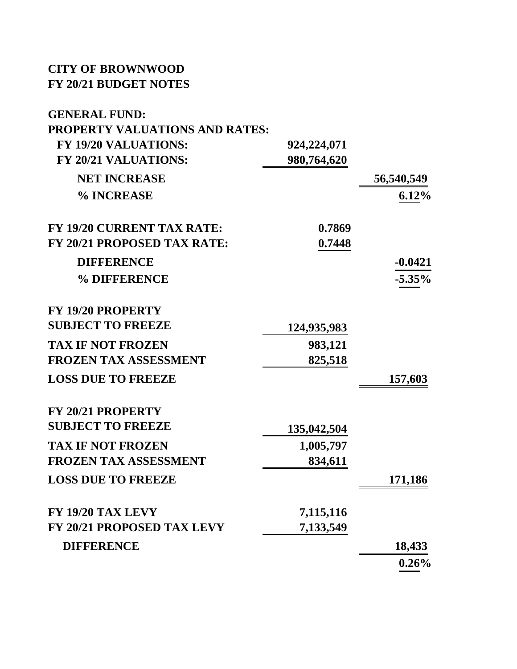## **CITY OF BROWNWOOD FY 20/21 BUDGET NOTES**

| <b>GENERAL FUND:</b>                  |             |            |
|---------------------------------------|-------------|------------|
| <b>PROPERTY VALUATIONS AND RATES:</b> |             |            |
| <b>FY 19/20 VALUATIONS:</b>           | 924,224,071 |            |
| <b>FY 20/21 VALUATIONS:</b>           | 980,764,620 |            |
| <b>NET INCREASE</b>                   |             | 56,540,549 |
| % INCREASE                            |             | 6.12%      |
| <b>FY 19/20 CURRENT TAX RATE:</b>     | 0.7869      |            |
| <b>FY 20/21 PROPOSED TAX RATE:</b>    | 0.7448      |            |
| <b>DIFFERENCE</b>                     |             | $-0.0421$  |
| % DIFFERENCE                          |             | $-5.35\%$  |
| <b>FY 19/20 PROPERTY</b>              |             |            |
| <b>SUBJECT TO FREEZE</b>              | 124,935,983 |            |
| <b>TAX IF NOT FROZEN</b>              | 983,121     |            |
| <b>FROZEN TAX ASSESSMENT</b>          | 825,518     |            |
| <b>LOSS DUE TO FREEZE</b>             |             | 157,603    |
| <b>FY 20/21 PROPERTY</b>              |             |            |
| <b>SUBJECT TO FREEZE</b>              | 135,042,504 |            |
| <b>TAX IF NOT FROZEN</b>              | 1,005,797   |            |
| <b>FROZEN TAX ASSESSMENT</b>          | 834,611     |            |
| <b>LOSS DUE TO FREEZE</b>             |             | 171,186    |
| FY 19/20 TAX LEVY                     | 7,115,116   |            |
| <b>FY 20/21 PROPOSED TAX LEVY</b>     | 7,133,549   |            |
| <b>DIFFERENCE</b>                     |             | 18,433     |
|                                       |             | 0.26%      |